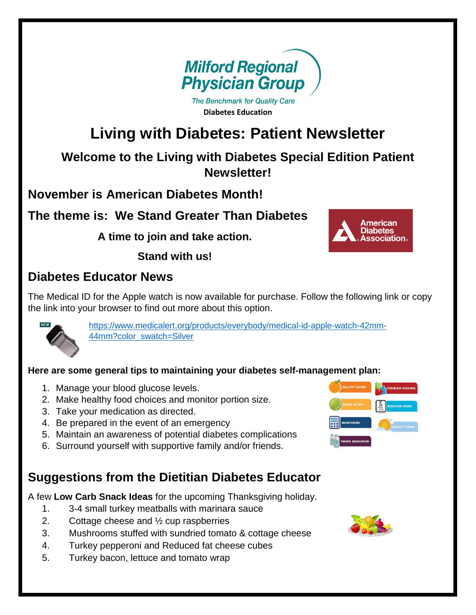

The Benchmark for Quality Care **Diabetes Education**

# **Living with Diabetes: Patient Newsletter**

**Welcome to the Living with Diabetes Special Edition Patient Newsletter!**

**November is American Diabetes Month!**

#### **The theme is: We Stand Greater Than Diabetes**

**A time to join and take action.**

**Stand with us!**



#### **Diabetes Educator News**

The Medical ID for the Apple watch is now available for purchase. Follow the following link or copy the link into your browser to find out more about this option.



[https://www.medicalert.org/products/everybody/medical-id-apple-watch-42mm-](https://www.medicalert.org/products/everybody/medical-id-apple-watch-42mm-44mm?color_swatch=Silver)[44mm?color\\_swatch=Silver](https://www.medicalert.org/products/everybody/medical-id-apple-watch-42mm-44mm?color_swatch=Silver)

#### **Here are some general tips to maintaining your diabetes self-management plan:**

- 1. Manage your blood glucose levels.
- 2. Make healthy food choices and monitor portion size.
- 3. Take your medication as directed.
- 4. Be prepared in the event of an emergency
- 5. Maintain an awareness of potential diabetes complications
- 6. Surround yourself with supportive family and/or friends.

#### **Suggestions from the Dietitian Diabetes Educator**

A few **Low Carb Snack Ideas** for the upcoming Thanksgiving holiday.

- 1. 3-4 small turkey meatballs with marinara sauce
- 2. Cottage cheese and ½ cup raspberries
- 3. Mushrooms stuffed with sundried tomato & cottage cheese
- 4. Turkey pepperoni and Reduced fat cheese cubes
- 5. Turkey bacon, lettuce and tomato wrap